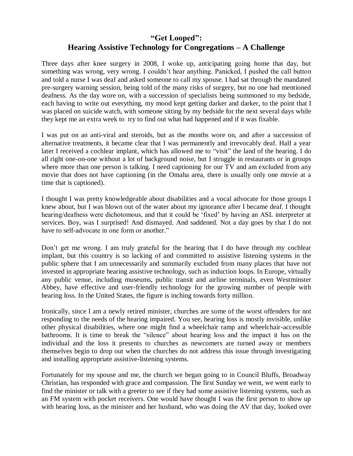## **"Get Looped": Hearing Assistive Technology for Congregations – A Challenge**

Three days after knee surgery in 2008, I woke up, anticipating going home that day, but something was wrong, very wrong. I couldn"t hear anything. Panicked, I pushed the call button and told a nurse I was deaf and asked someone to call my spouse. I had sat through the mandated pre-surgery warning session, being told of the many risks of surgery, but no one had mentioned deafness. As the day wore on, with a succession of specialists being summoned to my bedside, each having to write out everything, my mood kept getting darker and darker, to the point that I was placed on suicide watch, with someone sitting by my bedside for the next several days while they kept me an extra week to try to find out what had happened and if it was fixable.

I was put on an anti-viral and steroids, but as the months wore on, and after a succession of alternative treatments, it became clear that I was permanently and irrevocably deaf. Half a year later I received a cochlear implant, which has allowed me to "visit" the land of the hearing. I do all right one-on-one without a lot of background noise, but I struggle in restaurants or in groups where more than one person is talking. I need captioning for our TV and am excluded from any movie that does not have captioning (in the Omaha area, there is usually only one movie at a time that is captioned).

I thought I was pretty knowledgeable about disabilities and a vocal advocate for those groups I knew about, but I was blown out of the water about my ignorance after I became deaf. I thought hearing/deafness were dichotomous, and that it could be 'fixed' by having an ASL interpreter at services. Boy, was I surprised! And dismayed. And saddened. Not a day goes by that I do not have to self-advocate in one form or another."

Don't get me wrong. I am truly grateful for the hearing that I do have through my cochlear implant, but this country is so lacking of and committed to assistive listening systems in the public sphere that I am unnecessarily and summarily excluded from many places that have not invested in appropriate hearing assistive technology, such as induction loops. In Europe, virtually any public venue, including museums, public transit and airline terminals, even Westminster Abbey, have effective and user-friendly technology for the growing number of people with hearing loss. In the United States, the figure is inching towards forty million.

Ironically, since I am a newly retired minister, churches are some of the worst offenders for not responding to the needs of the hearing impaired. You see, hearing loss is mostly invisible, unlike other physical disabilities, where one might find a wheelchair ramp and wheelchair-accessible bathrooms. It is time to break the "silence" about hearing loss and the impact it has on the individual and the loss it presents to churches as newcomers are turned away or members themselves begin to drop out when the churches do not address this issue through investigating and installing appropriate assistive-listening systems.

Fortunately for my spouse and me, the church we began going to in Council Bluffs, Broadway Christian, has responded with grace and compassion. The first Sunday we went, we went early to find the minister or talk with a greeter to see if they had some assistive listening systems, such as an FM system with pocket receivers. One would have thought I was the first person to show up with hearing loss, as the minister and her husband, who was doing the AV that day, looked over